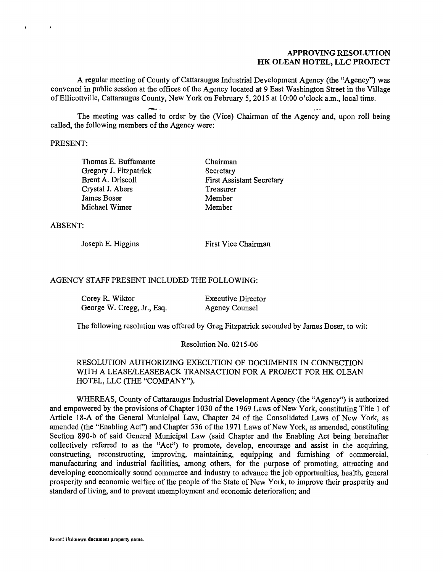### APPROVING RESOLUTION **APPROVING RESOLUTION**  HK OLEAN HOTEL, LLC PROJECT **HK OLEAN HOTEL, LLC PROJECT**

A regular meeting of County of Cattaraugus Industrial Development Agency (the "Agency") was A regular meeting of County of Cattaraugus Industrial Development Agency (the "Agency") was convened in public session at the offices of the Agency located at 9 East Washington Street in the Village convened in public session at the offices of the Agency located at 9 East Washington Street in the Village of Ellicottville, Cattaraugus County, New York on February 5, 2015 at 10:00 o'clock a.m., local time. of Ellicottville, Cattaraugus County, New York on February 5, 2015 at 10:00 o'clock a.m., local time .

The meeting was called to order by the (Vice) Chairman of the Agency and, upon roll being The meeting was called to order by the (Vice) Chairman of the Agency and, upon roll being called, the following members of the Agency were:

### PRESENT: PRESENT:

 $\mathbf{A}$ 

 $\mathbf{r}$  .

Thomas E. Buffamante Thomas E. Buffamante Gregory J. Fitzpatrick Gregory J. Fitzpatrick Brent A. Driscoll Brent A. Driscoll Crystal J. Abers Crystal J. Abers James Boser James Boser Michael Wimer Michael Wimer

Chairman Chairman Secretary Secretary First Assistant Secretary First Assistant Secretary Treasurer Treasurer Member Member Member Member

ABSENT: ABSENT:

Joseph E. Higgins Joseph E. Higgins

First Vice Chairman First Vice Chairman

## AGENCY STAFF PRESENT INCLUDED THE FOLLOWING: AGENCY STAFF PRESENT INCLUDED THE FOLLOWING:

. ;-:=.,.

| Corey R. Wiktor            | <b>Executive Director</b> |
|----------------------------|---------------------------|
| George W. Cregg, Jr., Esq. | Agency Counsel            |

The following resolution was offered by Greg Fitzpatrick seconded by James Boser, to wit: The following resolution was offered by Greg Fitzpatrick seconded by James Boser, to wit:

#### Resolution No. 0215-06 Resolution No. 0215-06

### RESOLUTION AUTHORIZING EXECUTION OF DOCUMENTS IN CONNECTION RESOLUTION AUTHORIZING EXECUTION OF DOCUMENTS IN CONNECTION WITH A LEASE/LEASEBACK TRANSACTION FOR A PROJECT FOR HK OLEAN WITH A LEASE/LEASEBACK TRANSACTION FOR A PROJECT FOR HK OLEAN HOTEL, LLC (THE "COMPANY"). HOTEL, LLC (THE "COMP ANY").

WHEREAS, County of Cattaraugus Industrial Development Agency (the "Agency") is authorized WHEREAS, County of Cattaraugus Industrial Development Agency (the "Agency") is authorized and empowered by the provisions of Chapter 1030 of the 1969 Laws of New York, constituting Title 1 of and empowered by the provisions of Chapter 1030 of the 1969 Laws of New York, constituting Title 1 of Article 18-A of the General Municipal Law, Chapter 24 of the Consolidated Laws of New York, as Article 18-A of the General Municipal Law, Chapter 24 of the Consolidated Laws of New York, as amended (the "Enabling Act") and Chapter 536 of the 1971 Laws of New York, as amended, constituting amended (the "Enabling Act") and Chapter 536 of the 1971 Laws of New York, as amended, constituting Section 890-b of said General Municipal Law (said Chapter and the Enabling Act being hereinafter Section 890-b of said General Municipal Law (said Chapter and the Enabling Act being hereinafter collectively referred to as the "Act") to promote, develop, encourage and assist in the acquiring, collectively referred to as the "Act'') to promote, develop, encourage and assist in the acquiring, constructing, reconstructing, improving, maintaining, equipping and furnishing of commercial, manufacturing and industrial facilities, among others, for the purpose of promoting, attracting and manufacturing and industrial facilities, among others, for the purpose of promoting, attracting and developing economically sound commerce and industry to advance the job opportunities, health, general developing economically sound commerce and industry to advance the job opportunities, health, general prosperity and economic welfare of the people of the State of New York, to improve their prosperity and prosperity and economic welfare of the people of the State of New York, to improve their prosperity and standard of living, and to prevent unemployment and economic deterioration; and standard of living, and to prevent unemployment and economic deterioration; and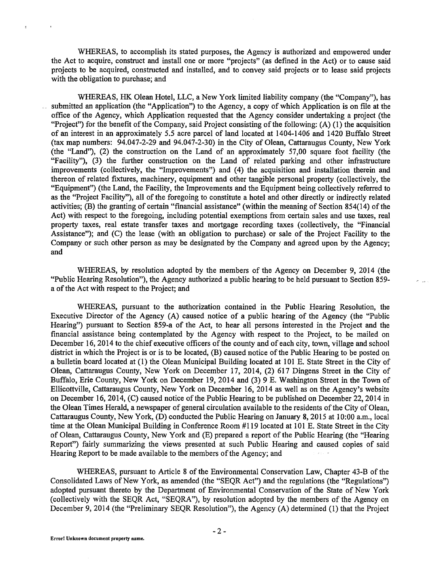WHEREAS, to accomplish its stated purposes, the Agency is authorized and empowered under WHEREAS, to accomplish its stated purposes, the Agency is authorized and empowered under the Act to acquire, construct and install one or more "projects" (as defined in the Act) or to cause said projects to be acquired, constructed and installed, and to convey said projects or to lease said projects projects to be acquired, constructed and installed, and to convey said projects or to lease said projects with the obligation to purchase; and with the obligation to purchase; and

WHEREAS, HK Olean Hotel, LLC, a New York limited liability company (the "Company"), has WHEREAS, HK Olean Hotel, LLC, a New York limited liability company (the "Company"), has submitted an application (the "Application") to the Agency, a copy of which Application is on file at the submitted an application (the "Application") to the Agency, a copy of which Application is on file at the office of the Agency, which Application requested that the Agency consider undertaking a project (the office of the Agency, which Application requested that the Agency consider undertaking a project (the "Project") for the benefit of the Company, said Project consisting of the following: (A) (1) the acquisition "Project") for the benefit of the Company, said Project consisting of the following: (A) (I) the acquisition of an interest in an approximately 5.5 acre parcel of land located at 1404-1406 and 1420 Buffalo Street (tax map numbers: 94.047-2-29 and 94.047-2-30) in the City of Olean, Cattaraugus County, New York (tax map numbers: 94.047-2-29 and 94.047-2-30) in the City of Olean, Cattaraugus County, New York (the "Land"), (2) the construction on the Land of an approximately 57,00 square foot facility (the (the "Land"), (2) the construction on the Land of an approximately 57,00 square foot facility (the "Facility"), (3) the further construction on the Land of related parking and other infrastructure "Facility"), (3) the further construction on the Land of related parking and other infrastructure improvements (collectively, the "Improvements") and (4) the acquisition and installation therein and improvements (collectively, the "Improvements") and (4) the acquisition and installation therein and thereon of related fixtures, machinery, equipment and other tangible personal property (collectively, the thereon of related fixtures, machinery, equipment and other tangible personal property ( collectively, the "Equipment") (the Land, the Facility, the Improvements and the Equipment being collectively referred to "Equipment") (the Land, the Facility, the Improvements and the Equipment being collectively referred to as the "Project Facility"), all of the foregoing to constitute a hotel and other directly or indirectly related as the "Project Facility"), all of the foregoing to constitute a hotel and other directly or indirectly related activities; (B) the granting of certain "financial assistance" (within the meaning of Section 854(14) of the activities; (B) the granting of certain "financial assistance" (within the meaning of Section 854(14) of the Act) with respect to the foregoing, including potential exemptions from certain sales and use taxes, real Act) with respect to the foregoing, including potential exemptions from certain sales and use taxes, real property taxes, real estate transfer taxes and mortgage recording taxes (collectively, the "Financial property taxes, real estate transfer taxes and mortgage recording taxes (collectively, the "Financial Assistance"); and (C) the lease (with an obligation to purchase) or sale of the Project Facility to the Assistance"); and (C) the lease (with an obligation to purchase) or sale of the Project Facility to the Company or such other person as may be designated by the Company and agreed upon by the Agency; Company or such other person as may be designated by the Company and agreed upon by the Agency; and and

WHEREAS, by resolution adopted by the members of the Agency on December 9, 2014 (the WHEREAS, by resolution adopted by the members of the Agency on December 9, 2014 (the "Public Hearing Resolution"), the Agency authorized a public hearing to be held pursuant to Section 859- "Public Hearing Resolution"), the Agency authorized a public hearing to be held pursuant to Section 859 a of the Act with respect to the Project; and a of the Act with respect to the Project; and

WHEREAS, pursuant to the authorization contained in the Public Hearing Resolution, the WHEREAS, pursuant to the authorization contained in the Public Hearing Resolution, the Executive Director of the Agency (A) caused notice of a public hearing of the Agency (the "Public Executive Director of the Agency (A) caused notice of a public hearing of the Agency (the "Public Hearing") pursuant to Section 859-a of the Act, to hear all persons interested in the Project and the Hearing") pursuant to Section 859-a of the Act, to hear all persons interested in the Project and the financial assistance being contemplated by the Agency with respect to the Project, to be mailed on financial assistance being contemplated by the Agency with respect to the Project, to be mailed on December 16, 2014 to the chief executive officers of the county and of each city, town, village and school December 16, 2014 to the chief executive officers of the county and of each city, town, village and school district in which the Project is or is to be located, (B) caused notice of the Public Hearing to be posted on district in which the Project is or is to be located, (B) caused notice of the Public Hearing to be posted on a bulletin board located at (1) the Olean Municipal Building located at 101 E. State Street in the City of a bulletin board located at ( 1) the Olean Municipal Building located at 101 E. State Street in the City of Olean, Cattaraugus County, New York on December 17, 2014, (2) 617 Dingens Street in the City of Olean, Cattaraugus County, New York on December 17, 2014, (2) 617 Dingens Street in the City of Buffalo, Erie County, New York on December 19, 2014 and (3) 9 E. Washington Street in the Town of Buffalo, Erie County, New York on December 19, 2014 and (3) 9 E. Washington Street in the Town of Ellicottville, Cattaraugus County, New York on December 16, 2014 as well as on the Agency's website Ellicottville, Cattaraugus County, New York on December 16, 2014 as well as on the Agency's website on December 16, 2014, (C) caused notice of the Public Hearing to be published on December 22, 2014 in the Olean Times Herald, a newspaper of general circulation available to the residents of the City of Olean, the Olean Times Herald, a newspaper of general circulation available to the residents of the City of Olean, Cattaraugus County, New York, (D) conducted the Public Hearing on January 8, 2015 at 10:00 a.m., local Cattaraugus County, New York, (D) conducted the Public Hearing on January 8, 2015 at 10:00 a.m., local time at the Olean Municipal Building in Conference Room #119 located at 101 E. State Street in the City time at the Olean Municipal Building in Conference Room #119 located at 101 E. State Street in the City of Olean, Cattaraugus County, New York and (E) prepared a report of the Public Hearing (the "Hearing of Olean, Cattaraugus County, New York and (E) prepared a report of the Public Hearing (the "Hearing Report") fairly summarizing the views presented at such Public Hearing and caused copies of said Report'') fairly summarizing the views presented at such Public Hearing and caused copies of said Hearing Report to be made available to the members of the Agency; and Hearing Report to be made available to the members of the Agency; and

WHEREAS, pursuant to Article 8 of the Environmental Conservation Law, Chapter 43-B of the WHEREAS, pursuant to Article 8 of the Environmental Conservation Law, Chapter 43-B of the Consolidated Laws of New York, as amended (the "SEQR Act") and the regulations (the "Regulations") Consolidated Laws of New York, as amended (the "SEQR Act") and the regulations (the "Regulations") adopted pursuant thereto by the Department of Environmental Conservation of the State of New York adopted pursuant thereto by the Department of Environmental Conservation of the State of New York (collectively with the SEQR Act, "SEQRA"), by resolution adopted by the members of the Agency on December 9, 2014 (the "Preliminary SEQR Resolution"), the Agency (A) determined (1) that the Project December 9, 2014 (the "Preliminary SEQR Resolution"), the Agency (A) determined (1) that the Project

 $\epsilon$ 

 $\mathbf{r}$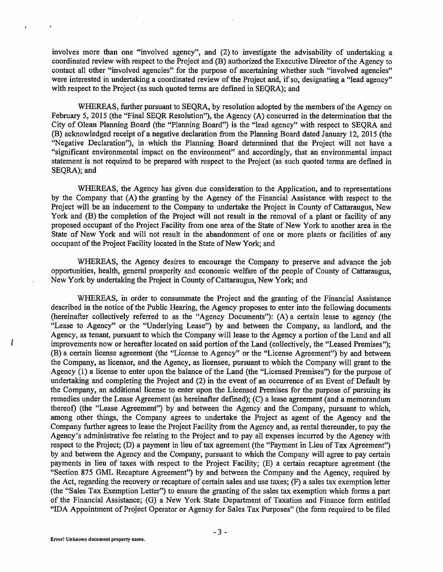involves more than one "involved agency", and (2) to investigate the advisability of undertaking a involves more than one "involved agency", and (2) to investigate the advisability of undertaking a coordinated review with respect to the Project and (B) authorized the Executive Director of the Agency to coordinated review with respect to the Project and (B) authorized the Executive Director of the Agency to contact all other "involved agencies" for the purpose of ascertaining whether such "involved agencies" contact all other "involved agencies" for the purpose of ascertaining whether such "involved agencies" were interested in undertaking a coordinated review of the Project and, if so, designating a "lead agency" were interested in undertaking a coordinated review of the Project and, if so, designating a "lead agency" with respect to the Project (as such quoted terms are defined in SEQRA); and with respect to the Project (as such quoted terms are defined in SEQRA); and

WHEREAS, further pursuant to SEQRA, by resolution adopted by the members of the Agency on WHEREAS, further pursuant to SEQRA, by resolution adopted by the members of the Agency on February 5, 2015 (the "Final SEQR Resolution"), the Agency (A) concurred in the determination that the February 5, 2015 (the "Final SEQR Resolution"), the Agency (A) concurred in the determination that the City of Olean Planning Board (the "Planning Board") is the "lead agency" with respect to SEQRA and City of Olean Planning Board (the "Planning Board") is the "lead agency" with respect to SEQRA and (B) acknowledged receipt of a negative declaration from the Planning Board dated January 12, 2015 (the (B) acknowledged receipt of a negative declaration from the Planning Board dated January 12, 2015 (the "Negative Declaration"), in which the Planning Board determined that the Project will not have a ''Negative Declaration"), in which the Planning Board determined that the Project will not have a "significant environmental impact on the environment" and accordingly, that an environmental impact statement is not required to be prepared with respect to the Project (as such quoted terms are defined in SEQRA); and SEQRA); and

WHEREAS, the Agency has given due consideration to the Application, and to representations WHEREAS, the Agency has given due consideration to the Application, and to representations by the Company that (A) the granting by the Agency of the Financial Assistance with respect to the by the Company that (A) the granting by the Agency of the Financial Assistance with respect to the Project will be an inducement to the Company to undertake the Project in County of Cattaraugus, New Project will be an inducement to the Company to undertake the Project in County of Cattaraugus, New York and (B) the completion of the Project will not result in the removal of a plant or facility of any York and (B) the completion of the Project will not result in the removal of a plant or facility of any proposed occupant of the Project Facility from one area of the State of New York to another area in the proposed occupant of the Project Facility from one area of the State of New York to another area in the State of New York and will not result in the abandonment of one or more plants or facilities of any State of New York and will not result in the abandonment of one or more plants or facilities of any occupant of the Project Facility located in the State of New York; and occupant of the Project Facility located in the State of New York; and

WHEREAS, the Agency desires to encourage the Company to preserve and advance the job WHEREAS, the Agency desires to encourage the Company to preserve and advance the job opportunities, health, general prosperity and economic welfare of the people of County of Cattaraugus, opportunities, health, general prosperity and economic welfare of the people of County of Cattaraugus, New York by undertaking the Project in County of Cattaraugus, New York; and

WHEREAS, in order to consummate the Project and the granting of the Financial Assistance WHEREAS, in order to consummate the Project and the granting of the Financial Assistance described in the notice of the Public Hearing, the Agency proposes to enter into the following documents described in the notice of the Public Hearing, the Agency proposes to enter into the following documents (hereinafter collectively referred to as the "Agency Documents"): (A) a certain lease to agency (the (hereinafter collectively referred to as the "Agency Documents"): (A) a certain lease to agency (the "Lease to Agency" or the "Underlying Lease") by and between the Company, as landlord, and the "Lease to Agency" or the "Underlying Lease") by and between the Company, as landlord, and the Agency, as tenant, pursuant to which the Company will lease to the Agency a portion of the Land and all Agency, as tenant, pursuant to which the Company will lease to the Agency a portion of the Land and all improvements now or hereafter located on said portion of the Land (collectively, the "Leased Premises"); improvements now or hereafter located on said portion of the Land (collectively, the "Leased Premises"); (B) a certain license agreement (the "License to Agency" or the "License Agreement") by and between (B) a certain license agreement (the "License to Agency" or the "License Agreement") by and between the Company, as licensor, and the Agency, as licensee, pursuant to which the Company will grant to the the Company, as licensor, and the Agency, as licensee, pursuant to which the Company will grant to the Agency (1) a license to enter upon the balance of the Land (the "Licensed Premises") for the purpose of Agency (1) a license to enter upon the balance of the Land (the "Licensed Premises") for the purpose of undertaking and completing the Project and (2) in the event of an occurrence of an Event of Default by undertaking and completing the Project and (2) in the event of an occurrence of an Event of Default by the Company, an additional license to enter upon the Licensed Premises for the purpose of pursuing its the Company, an additional license to enter upon the Licensed Premises for the purpose of pursuing its remedies under the Lease Agreement (as hereinafter defined); (C) a lease agreement (and a memorandum remedies under the Lease Agreement (as hereinafter defined); (C) a lease agreement (and a memorandum thereof) (the "Lease Agreement") by and between the Agency and the Company, pursuant to which, thereof) (the "Lease Agreement") by and between the Agency and the Company, pursuant to which, among other things, the Company agrees to undertake the Project as agent of the Agency and the among other things, the Company agrees to undertake the Project as agent of the Agency and the Company further agrees to lease the Project Facility from the Agency and, as rental thereunder, to pay the Company further agrees to lease the Project Facility from the Agency and, as rental thereunder, to pay the Agency's administrative fee relating to the Project and to pay all expenses incurred by the Agency with Agency's administrative fee relating to the Project and to pay all expenses incurred by the Agency with respect to the Project; (D) a payment in lieu of tax agreement (the "Payment in Lieu of Tax Agreement") by and between the Agency and the Company, pursuant to which the Company will agree to pay certain by and between the Agency and the Company, pursuant to which the Company will agree to pay certain payments in lieu of taxes with respect to the Project Facility; (E) a certain recapture agreement (the payments in lieu of taxes with respect to the Project Facility; (E) a certain recapture agreement (the "Section 875 GML Recapture Agreement") by and between the Company and the Agency, required by "Section 875 GML Recapture Agreement") by and between the Company and the Agency, required by the Act, regarding the recovery or recapture of certain sales and use taxes; (F) a sales tax exemption letter the Act, regarding the recovery or recapture of certain sales and use taxes; (F) a sales tax exemption letter (the "Sales Tax Exemption Letter") to ensure the granting of the sales tax exemption which forms a part (the "Sales Tax Exemption Letter") to ensure the granting of the sales tax exemption which forms a part of the Financial Assistance; (G) a New York State Department of Taxation and Finance form entitled of the Financial Assistance; (G) a New York State Department of Taxation and Finance form entitled "IDA Appointment of Project Operator or Agency for Sales Tax Purposes" (the form required to be filed "IDA Appointment of Project Operator or Agency for Sales Tax Purposes" (the form required to be filed

Į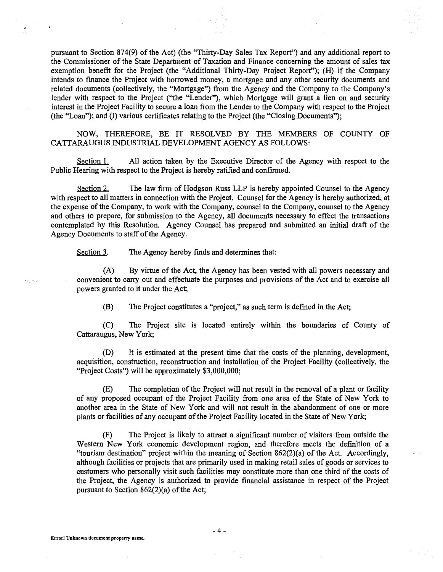pursuant to Section 874(9) of the Act) (the "Thirty-Day Sales Tax Report") and any additional report to pursuant to Section 874(9) of the Act) (the "Thirty-Day Sales Tax Report") and any additional report to the Commissioner of the State Department of Taxation and Finance concerning the amount of sales tax the Commissioner of the State Department of Taxation and Finance concerning the amount of sales tax exemption benefit for the Project (the "Additional Thirty-Day Project Report"); (H) if the Company exemption benefit for the Project (the "Additional Thirty-Day Project Report"); (H) if the Company intends to finance the Project with borrowed money, a mortgage and any other security documents and intends to finance the Project with borrowed money, a mortgage and any other security documents and related documents (collectively, the "Mortgage") from the Agency and the Company to the Company's related documents (collectively, the "Mortgage") from the Agency and the Company to the Company's lender with respect to the Project ("the "Lender"), which Mortgage will grant a lien on and security lender with respect to the Project ("the "Lender"), which Mortgage will grant a lien on and security interest in the Project Facility to secure a loan from the Lender to the Company with respect to the Project interest in the Project Facility to secure a loan from the Lender to the Company with respect to the Project (the "Loan"); and (I) various certificates relating to the Project (the "Closing Documents"); (the "Loan"); and (I) various certificates relating to the Project (the "Closing Documents");

NOW, THEREFORE, BE IT RESOLVED BY THE MEMBERS OF COUNTY OF NOW, THEREFORE, BE IT RESOLVED BY THE MEMBERS OF COUNTY OF CATTARAUGUS INDUSTRIAL DEVELOPMENT AGENCY AS FOLLOWS: CATTARAUGUS INDUSTRIAL DEVELOPMENT AGENCY AS FOLLOWS:

Section 1. All action taken by the Executive Director of the Agency with respect to the Public Hearing with respect to the Project is hereby ratified and confirmed. Public Hearing with respect to the Project is hereby ratified and confirmed.

Section 2. The law firm of Hodgson Russ LLP is hereby appointed Counsel to the Agency with respect to all matters in connection with the Project. Counsel for the Agency is hereby authorized, at with respect to all matters in connection with the Project. Counsel for the Agency is hereby authorized, at the expense of the Company, to work with the Company, counsel to the Company, counsel to the Agency the expense of the Company, to work with the Company, counsel to the Company, counsel to the Agency and others to prepare, for submission to the Agency, all documents necessary to effect the transactions and others to prepare, for submission to the Agency, all documents necessary to effect the transactions contemplated by this Resolution. Agency Counsel has prepared and submitted an initial draft of the contemplated by this Resolution. Agency Counsel has prepared and submitted an initial draft of the Agency Documents to staff of the Agency. Agency Documents to staff of the Agency.

Section 3. The Agency hereby finds and determines that:

(A) By virtue of the Act, the Agency has been vested with all powers necessary and (A) By virtue of the Act, the Agency has been vested with all powers necessary and convenient to carry out and effectuate the purposes and provisions of the Act and to exercise all convenient to carry out and effectuate the purposes and provisions of the Act and to exercise all powers granted to it under the Act; powers granted to it under the Act;

(B) The Project constitutes a "project," as such term is defined in the Act; (B) The Project constitutes a "project," as such term is defined in the Act;

(C) The Project site is located entirely within the boundaries of County of (C) The Project site is located entirely within the boundaries of County of Cattaraugus, New York; Cattaraugus, New York;

(D) It is estimated at the present time that the costs of the planning, development, (D) It is estimated at the present time that the costs of the planning, development, acquisition, construction, reconstruction and installation of the Project Facility (collectively, the acquisition, construction, reconstruction and installation of the Project Facility (collectively, the "Project Costs") will be approximately \$3,000,000; "Project Costs") will be approximately \$3,000,000;

(E) The completion of the Project will not result in the removal of a plant or facility (E) The completion of the Project will not result in the removal of a plant or facility of any proposed occupant of the Project Facility from one area of the State of New York to another area in the State of New York and will not result in the abandonment of one or more another area in the State of New York and will not result in the abandonment of one or more plants or facilities of any occupant of the Project Facility located in the State of New York;

(F) The Project is likely to attract a significant number of visitors from outside the (F) The Project is likely to attract a significant number of visitors from outside the Western New York economic development region, and therefore meets the definition of a Western New York economic development region, and therefore meets the definition of a "tourism destination" project within the meaning of Section 862(2)(a) of the Act. Accordingly, "tourism destination" project within the meaning of Section 862(2)(a) of the Act. Accordingly, although facilities or projects that are primarily used in making retail sales of goods or services to although facilities or projects that are primarily used in making retail sales of goods or services to customers who personally visit such facilities may constitute more than one third of the costs of customers who personally visit such facilities may constitute more than one third of the costs of the Project, the Agency is authorized to provide financial assistance in respect of the Project the Project, the Agency is authorized to provide financial assistance in respect of the Project pursuant to Section 862(2)(a) of the Act; pursuant to Section 862(2)(a) of the Act;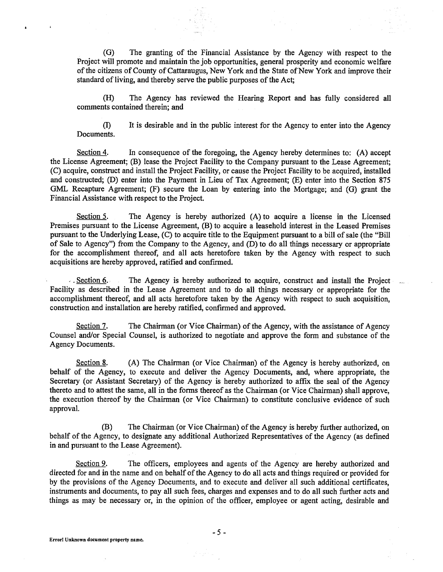(G) The granting of the Financial Assistance by the Agency with respect to the (G) The granting of the Financial Assistance by the Agency with respect to the Project will promote and maintain the job opportunities, general prosperity and economic welfare Project will promote and maintain the job opportunities, general prosperity and economic welfare of the citizens of County of Cattaraugus, New York and the State of New York and improve their of the citizens of County of Cattaraugus, New York and the State of New York and improve their standard of living, and thereby serve the public purposes of the Act; standard of living, and thereby serve the public purposes of the Act;

(H) The Agency has reviewed the Hearing Report and has fully considered all (H) The Agency has reviewed the Hearing Report and has fully considered all comments contained therein; and comments contained therein; and

(I) It is desirable and in the public interest for the Agency to enter into the Agency (I) It is desirable and in the public interest for the Agency to enter into the Agency Documents. Documents.

Section 4. In consequence of the foregoing, the Agency hereby determines to: (A) accept the License Agreement; (B) lease the Project Facility to the Company pursuant to the Lease Agreement; (C) acquire, construct and install the Project Facility, or cause the Project Facility to be acquired, installed and constructed; (D) enter into the Payment in Lieu of Tax Agreement; (E) enter into the Section 875 and constructed; (D) enter into the Payment in Lieu of Tax Agreement; (E) enter into the Section 875 GML Recapture Agreement; (F) secure the Loan by entering into the Mortgage; and (G) grant the GML Recapture Agreement; (F) secure the Loan by entering into the Mortgage; and (G) grant the Financial Assistance with respect to the Project. Financial Assistance with respect to the Project.

Section 5. The Agency is hereby authorized (A) to acquire a license in the Licensed Premises pursuant to the License Agreement, (B) to acquire a leasehold interest in the Leased Premises Premises pursuant to the License Agreement, (B) to acquire a leasehold interest in the Leased Premises pursuant to the Underlying Lease, (C) to acquire title to the Equipment pursuant to a bill of sale (the "Bill pursuant to the Underlying Lease, (C) to acquire title to the Equipment pursuant to a bill of sale (the "Bill of Sale to Agency") from the Company to the Agency, and (D) to do all things necessary or appropriate of Sale to Agency") from the Company to the Agency, and (D) to do all things necessary or appropriate for the accomplishment thereof, and all acts heretofore taken by the Agency with respect to such for the accomplishment thereof, and all acts heretofore taken by the Agency with respect to such acquisitions are hereby approved, ratified and confirmed. acquisitions are hereby approved, ratified and confirmed.

. Section 6. The Agency is hereby authorized to acquire, construct and install the Project Facility as described in the Lease Agreement and to do all things necessary or appropriate for the Facility as described in the Lease Agreement and to do all things necessary or appropriate for the accomplishment thereof, and all acts heretofore taken by the Agency with respect to such acquisition, accomplishment thereof, and all acts heretofore taken by the Agency with respect to such acquisition, construction and installation are hereby ratified, confirmed and approved. construction and installation are hereby ratified, confirmed and approved.

Section 7. The Chairman (or Vice Chairman) of the Agency, with the assistance of Agency Counsel and/or Special Counsel, is authorized to negotiate and approve the form and substance of the Counsel and/or Special Counsel, is authorized to negotiate and approve the form and substance of the Agency Documents. Agency Documents.

Section 8. (A) The Chairman (or Vice Chairman) of the Agency is hereby authorized, on behalf of the Agency, to execute and deliver the Agency Documents, and, where appropriate, the behalf of the Agency, to execute and deliver the Agency Documents, and, where appropriate, the Secretary (or Assistant Secretary) of the Agency is hereby authorized to affix the seal of the Agency thereto and to attest the same, all in the forms thereof as the Chairman (or Vice Chairman) shall approve, the execution thereof by the Chairman (or Vice Chairman) to constitute conclusive evidence of such the execution thereof by the Chairman (or Vice Chairman) to constitute conclusive evidence of such approval. approval.

(B) The Chairman (or Vice Chairman) of the Agency is hereby further authorized, on (B) The Chairman (or Vice Chairman) of the Agency is hereby further authorized, on behalf of the Agency, to designate any additional Authorized Representatives of the Agency (as defined behalf of the Agency, to designate any additional Authorized Representatives of the Agency (as defined in and pursuant to the Lease Agreement). in and pursuant to the Lease Agreement).

Section 9. The officers, employees and agents of the Agency are hereby authorized and directed for and in the name and on behalf of the Agency to do all acts and things required or provided for directed for and in the name and on behalf of the Agency to do all acts and things required or provided for by the provisions of the Agency Documents, and to execute and deliver all such additional certificates, by the provisions of the Agency Documents, and to execute and deliver all such additional certificates, instruments and documents, to pay all such fees, charges and expenses and to do all such further acts and instruments and documents, to pay all such fees, charges and expenses and to do all such further acts and things as may be necessary or, in the opinion of the officer, employee or agent acting, desirable and things as may be necessary or, in the opinion of the officer, employee or agent acting, desirable and

 $\lambda$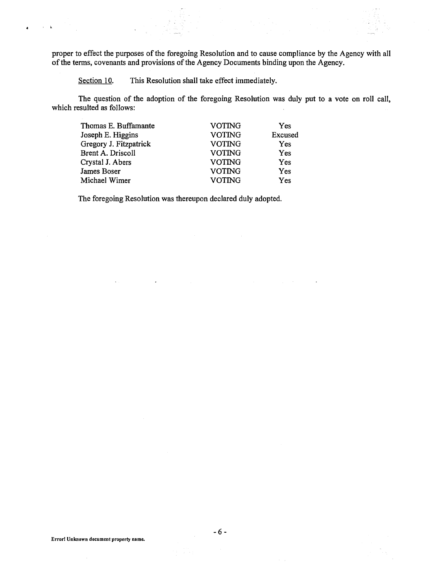proper to effect the purposes of the foregoing Resolution and to cause compliance by the Agency with all proper to effect the purposes of the foregoing Resolution and to cause compliance by the Agency with all of the terms, covenants and provisions of the Agency Documents binding upon the Agency. of the terms, covenants and provisions of the Agency Documents binding upon the Agency.

Section 10. This Resolution shall take effect immediately.

 $\chi$  .  $\mathbf{k}$ 

> The question of the adoption of the foregoing Resolution was duly put to a vote on roll call, The question of the adoption of the foregoing Resolution was duly put to a vote on roll call, which resulted as follows: which resulted as follows:

| <b>VOTING</b> | Yes     |
|---------------|---------|
| <b>VOTING</b> | Excused |
| <b>VOTING</b> | Yes     |
| <b>VOTING</b> | Yes     |
| <b>VOTING</b> | Yes     |
| <b>VOTING</b> | Yes     |
| <b>VOTING</b> | Yes     |
|               |         |

The foregoing Resolution was thereupon declared duly adopted. The foregoing Resolution was thereupon declared duly adopted.

 $\ddot{\phantom{a}}$